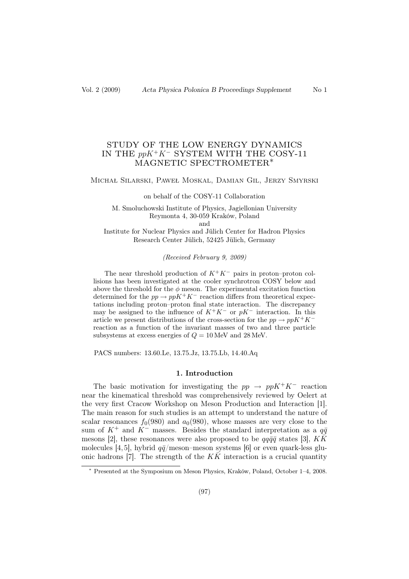# STUDY OF THE LOW ENERGY DYNAMICS IN THE  $ppK^+K^-$  SYSTEM WITH THE COSY-11 MAGNETIC SPECTROMETER∗

### Michał Silarski, Paweł Moskal, Damian Gil, Jerzy Smyrski

#### on behalf of the COSY-11 Collaboration

M. Smoluchowski Institute of Physics, Jagiellonian University Reymonta 4, 30-059 Kraków, Poland and

Institute for Nuclear Physics and Jülich Center for Hadron Physics Research Center Jülich, 52425 Jülich, Germany

(Received February 9, 2009)

The near threshold production of  $K^+K^-$  pairs in proton–proton collisions has been investigated at the cooler synchrotron COSY below and above the threshold for the  $\phi$  meson. The experimental excitation function determined for the  $pp \to ppK^+K^-$  reaction differs from theoretical expectations including proton–proton final state interaction. The discrepancy may be assigned to the influence of  $K^+K^-$  or  $pK^-$  interaction. In this article we present distributions of the cross-section for the  $pp \to ppK^+K^$ reaction as a function of the invariant masses of two and three particle subsystems at excess energies of  $Q = 10$  MeV and 28 MeV.

PACS numbers: 13.60.Le, 13.75.Jz, 13.75.Lb, 14.40.Aq

### 1. Introduction

The basic motivation for investigating the  $pp \rightarrow ppK^+K^-$  reaction near the kinematical threshold was comprehensively reviewed by Oelert at the very first Cracow Workshop on Meson Production and Interaction [1]. The main reason for such studies is an attempt to understand the nature of scalar resonances  $f_0(980)$  and  $a_0(980)$ , whose masses are very close to the sum of  $K^+$  and  $K^-$  masses. Besides the standard interpretation as a  $q\bar{q}$ mesons [2], these resonances were also proposed to be  $qq\bar{q}\bar{q}$  states [3],  $K\bar{K}$ molecules [4, 5], hybrid  $q\bar{q}/\text{meson-meson}$  systems [6] or even quark-less gluonic hadrons [7]. The strength of the  $K\bar{K}$  interaction is a crucial quantity

<sup>∗</sup> Presented at the Symposium on Meson Physics, Kraków, Poland, October 1–4, 2008.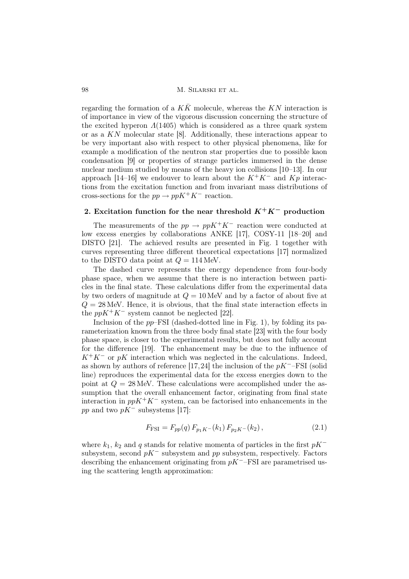98 M. Silarski et al.

regarding the formation of a  $KK$  molecule, whereas the  $KN$  interaction is of importance in view of the vigorous discussion concerning the structure of the excited hyperon  $\Lambda(1405)$  which is considered as a three quark system or as a KN molecular state [8]. Additionally, these interactions appear to be very important also with respect to other physical phenomena, like for example a modification of the neutron star properties due to possible kaon condensation [9] or properties of strange particles immersed in the dense nuclear medium studied by means of the heavy ion collisions [10–13]. In our approach [14–16] we endouver to learn about the  $K^+K^-$  and  $Kp$  interactions from the excitation function and from invariant mass distributions of cross-sections for the  $pp \to ppK^+K^-$  reaction.

## 2. Excitation function for the near threshold  $K^+K^-$  production

The measurements of the  $pp \to ppK^+K^-$  reaction were conducted at low excess energies by collaborations ANKE [17], COSY-11 [18–20] and DISTO [21]. The achieved results are presented in Fig. 1 together with curves representing three different theoretical expectations [17] normalized to the DISTO data point at  $Q = 114$  MeV.

The dashed curve represents the energy dependence from four-body phase space, when we assume that there is no interaction between particles in the final state. These calculations differ from the experimental data by two orders of magnitude at  $Q = 10$  MeV and by a factor of about five at  $Q = 28$  MeV. Hence, it is obvious, that the final state interaction effects in the  $ppK^+K^-$  system cannot be neglected [22].

Inclusion of the  $pp$ -FSI (dashed-dotted line in Fig. 1), by folding its parameterization known from the three body final state [23] with the four body phase space, is closer to the experimental results, but does not fully account for the difference [19]. The enhancement may be due to the influence of  $K^+K^-$  or pK interaction which was neglected in the calculations. Indeed, as shown by authors of reference [17,24] the inclusion of the  $pK^-$ –FSI (solid line) reproduces the experimental data for the excess energies down to the point at  $Q = 28$  MeV. These calculations were accomplished under the assumption that the overall enhancement factor, originating from final state interaction in  $ppK^+K^-$  system, can be factorised into enhancements in the pp and two  $pK^-$  subsystems [17]:

$$
F_{\text{FSI}} = F_{pp}(q) F_{p_1 K^-}(k_1) F_{p_2 K^-}(k_2), \qquad (2.1)
$$

where  $k_1$ ,  $k_2$  and q stands for relative momenta of particles in the first  $pK^$ subsystem, second  $pK^-$  subsystem and pp subsystem, respectively. Factors describing the enhancement originating from  $pK^-$ –FSI are parametrised using the scattering length approximation: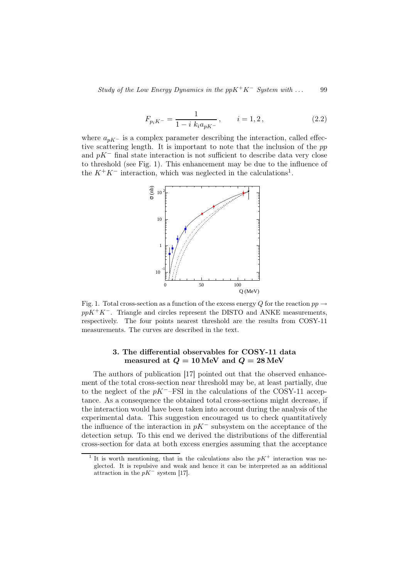Study of the Low Energy Dynamics in the  $ppK^+K^-$  System with ... 99

$$
F_{p_i K^-} = \frac{1}{1 - i k_i a_{pK^-}}, \qquad i = 1, 2, \tag{2.2}
$$

where  $a_{nK-}$  is a complex parameter describing the interaction, called effective scattering length. It is important to note that the inclusion of the pp and  $pK^-$  final state interaction is not sufficient to describe data very close to threshold (see Fig. 1). This enhancement may be due to the influence of the  $K^+K^-$  interaction, which was neglected in the calculations<sup>1</sup>.



Fig. 1. Total cross-section as a function of the excess energy Q for the reaction  $pp \rightarrow$  $ppK^+K^-$ . Triangle and circles represent the DISTO and ANKE measurements, respectively. The four points nearest threshold are the results from COSY-11 measurements. The curves are described in the text.

# 3. The differential observables for COSY-11 data measured at  $Q = 10 \,\text{MeV}$  and  $Q = 28 \,\text{MeV}$

The authors of publication [17] pointed out that the observed enhancement of the total cross-section near threshold may be, at least partially, due to the neglect of the  $pK^-$ –FSI in the calculations of the COSY-11 acceptance. As a consequence the obtained total cross-sections might decrease, if the interaction would have been taken into account during the analysis of the experimental data. This suggestion encouraged us to check quantitatively the influence of the interaction in  $pK^-$  subsystem on the acceptance of the detection setup. To this end we derived the distributions of the differential cross-section for data at both excess energies assuming that the acceptance

<sup>&</sup>lt;sup>1</sup> It is worth mentioning, that in the calculations also the  $pK^+$  interaction was neglected. It is repulsive and weak and hence it can be interpreted as an additional attraction in the  $pK^-$  system [17].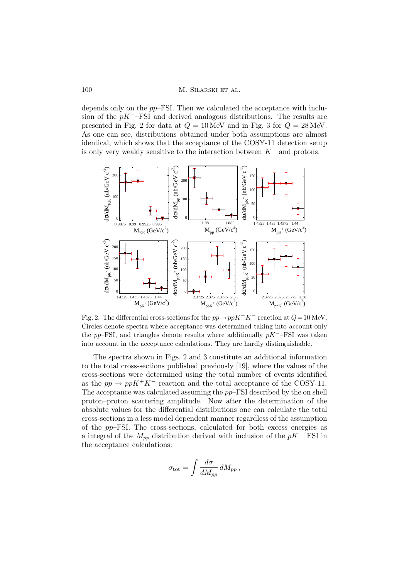depends only on the pp–FSI. Then we calculated the acceptance with inclusion of the  $pK^-$ –FSI and derived analogous distributions. The results are presented in Fig. 2 for data at  $Q = 10$  MeV and in Fig. 3 for  $Q = 28$  MeV. As one can see, distributions obtained under both assumptions are almost identical, which shows that the acceptance of the COSY-11 detection setup is only very weakly sensitive to the interaction between  $K^-$  and protons.



Fig. 2. The differential cross-sections for the  $pp \to ppK^+K^-$  reaction at  $Q=10$  MeV. Circles denote spectra where acceptance was determined taking into account only the pp–FSI, and triangles denote results where additionally  $pK^-$ –FSI was taken into account in the acceptance calculations. They are hardly distinguishable.

The spectra shown in Figs. 2 and 3 constitute an additional information to the total cross-sections published previously [19], where the values of the cross-sections were determined using the total number of events identified as the  $pp \to ppK^+K^-$  reaction and the total acceptance of the COSY-11. The acceptance was calculated assuming the pp–FSI described by the on shell proton–proton scattering amplitude. Now after the determination of the absolute values for the differential distributions one can calculate the total cross-sections in a less model dependent manner regardless of the assumption of the pp–FSI. The cross-sections, calculated for both excess energies as a integral of the  $M_{pp}$  distribution derived with inclusion of the  $pK^-$ –FSI in the acceptance calculations:

$$
\sigma_{\rm tot} = \int \frac{d\sigma}{dM_{pp}} \, dM_{pp} \,,
$$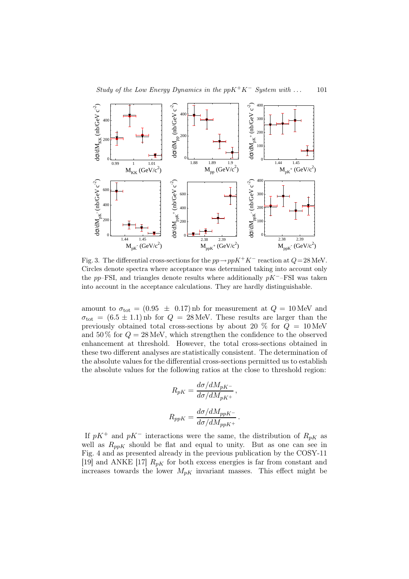

Fig. 3. The differential cross-sections for the  $pp \to ppK^+K^-$  reaction at  $Q=28$  MeV. Circles denote spectra where acceptance was determined taking into account only the pp–FSI, and triangles denote results where additionally  $pK^-$ –FSI was taken into account in the acceptance calculations. They are hardly distinguishable.

amount to  $\sigma_{\text{tot}} = (0.95 \pm 0.17)$  nb for measurement at  $Q = 10 \,\text{MeV}$  and  $\sigma_{\text{tot}} = (6.5 \pm 1.1)$  nb for  $Q = 28 \text{ MeV}$ . These results are larger than the previously obtained total cross-sections by about 20  $\%$  for  $Q = 10 \,\text{MeV}$ and  $50\%$  for  $Q = 28$  MeV, which strengthen the confidence to the observed enhancement at threshold. However, the total cross-sections obtained in these two different analyses are statistically consistent. The determination of the absolute values for the differential cross-sections permitted us to establish the absolute values for the following ratios at the close to threshold region:

$$
R_{pK} = \frac{d\sigma/dM_{pK^-}}{d\sigma/dM_{pK^+}},
$$
  

$$
R_{ppK} = \frac{d\sigma/dM_{ppK^-}}{d\sigma/dM_{ppK^+}}.
$$

If  $pK^+$  and  $pK^-$  interactions were the same, the distribution of  $R_{pK}$  as well as  $R_{ppK}$  should be flat and equal to unity. But as one can see in Fig. 4 and as presented already in the previous publication by the COSY-11 [19] and ANKE [17]  $R_{pK}$  for both excess energies is far from constant and increases towards the lower  $M_{pK}$  invariant masses. This effect might be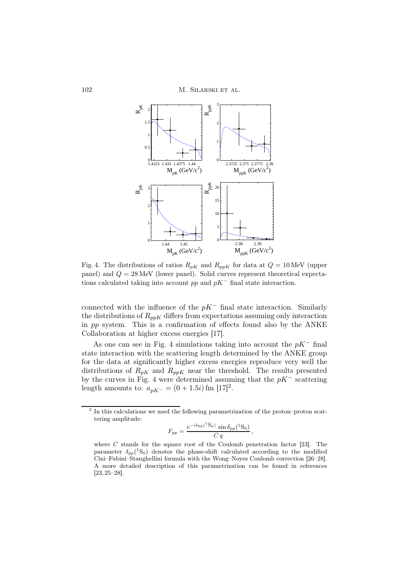

Fig. 4. The distributions of ratios  $R_{pK}$  and  $R_{ppK}$  for data at  $Q = 10$  MeV (upper panel) and  $Q = 28$  MeV (lower panel). Solid curves represent theoretical expectations calculated taking into account  $pp$  and  $pK^-$  final state interaction.

connected with the influence of the  $pK^-$  final state interaction. Similarly the distributions of  $R_{ppK}$  differs from expectations assuming only interaction in pp system. This is a confirmation of effects found also by the ANKE Collaboration at higher excess energies [17].

As one can see in Fig. 4 simulations taking into account the  $pK^-$  final state interaction with the scattering length determined by the ANKE group for the data at significantly higher excess energies reproduce very well the distributions of  $R_{pK}$  and  $R_{ppK}$  near the threshold. The results presented by the curves in Fig. 4 were determined assuming that the  $pK^-$  scattering length amounts to:  $a_{pK^-} = (0 + 1.5i)$  fm  $[17]^2$ .

$$
F_{pp} = \frac{e^{-i\delta_{pp}(^1\mathrm{S}_0)}\sin\delta_{pp}(^1\mathrm{S}_0)}{C\,q},
$$

<sup>&</sup>lt;sup>2</sup> In this calculations we used the following parametrization of the proton–proton scattering amplitude:

where  $C$  stands for the square root of the Coulomb penetration factor [23]. The parameter  $\delta_{pp}({}^{1}S_{0})$  denotes the phase-shift calculated according to the modified Cini–Fubini–Stanghellini formula with the Wong–Noyes Coulomb correction [26–28]. A more detailed description of this parametrization can be found in references [23, 25–28].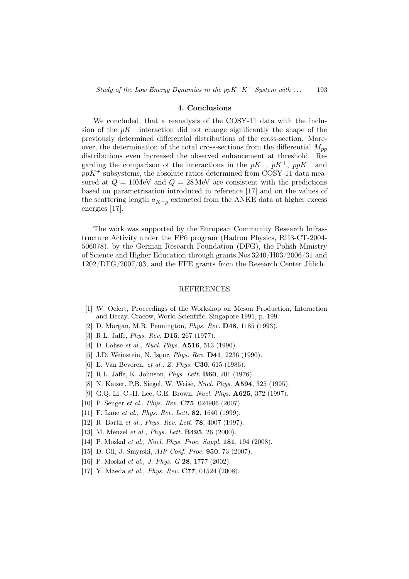#### 4. Conclusions

We concluded, that a reanalysis of the COSY-11 data with the inclusion of the  $pK^-$  interaction did not change significantly the shape of the previously determined differential distributions of the cross-section. Moreover, the determination of the total cross-sections from the differential  $M_{nn}$ distributions even increased the observed enhancement at threshold. Regarding the comparison of the interactions in the  $pK^-$ ,  $pK^+$ ,  $ppK^-$  and  $ppK^+$  subsystems, the absolute ratios determined from COSY-11 data measured at  $Q = 10$ MeV and  $Q = 28$ MeV are consistent with the predictions based on parametrisation introduced in reference [17] and on the values of the scattering length  $a_{K-p}$  extracted from the ANKE data at higher excess energies [17].

The work was supported by the European Community Research Infrastructure Activity under the FP6 program (Hadron Physics, RII3-CT-2004- 506078), by the German Research Foundation (DFG), the Polish Ministry of Science and Higher Education through grants Nos 3240/H03/2006/31 and 1202/DFG/2007/03, and the FFE grants from the Research Center Jülich.

### REFERENCES

- [1] W. Oelert, Proceedings of the Workshop on Meson Production, Interaction and Decay, Cracow, World Scientific, Singapore 1991, p. 199.
- [2] D. Morgan, M.R. Pennington, Phys. Rev. D48, 1185 (1993).
- [3] R.L. Jaffe, *Phys. Rev.* **D15**, 267 (1977).
- [4] D. Lohse *et al., Nucl. Phys.* **A516**, 513 (1990).
- [5] J.D. Weinstein, N. Isgur, *Phys. Rev.* **D41**, 2236 (1990).
- [6] E. Van Beveren, et al., Z. Phys. C30, 615 (1986).
- [7] R.L. Jaffe, K. Johnson, *Phys. Lett.* **B60**, 201 (1976).
- [8] N. Kaiser, P.B. Siegel, W. Weise, Nucl. Phys. A594, 325 (1995).
- [9] G.Q. Li, C.-H. Lee, G.E. Brown, Nucl. Phys. A625, 372 (1997).
- [10] P. Senger et al., Phys. Rev. C75, 024906 (2007).
- [11] F. Laue et al., *Phys. Rev. Lett.* **82**, 1640 (1999).
- [12] R. Barth et al., *Phys. Rev. Lett.* **78**, 4007 (1997).
- [13] M. Menzel et al., Phys. Lett. **B495**, 26 (2000).
- [14] P. Moskal et al., Nucl. Phys. Proc. Suppl. **181**, 194 (2008).
- [15] D. Gil, J. Smyrski, AIP Conf. Proc. 950, 73 (2007).
- [16] P. Moskal et al., J. Phys. G 28, 1777 (2002).
- [17] Y. Maeda et al., Phys. Rev. **C77**, 01524 (2008).